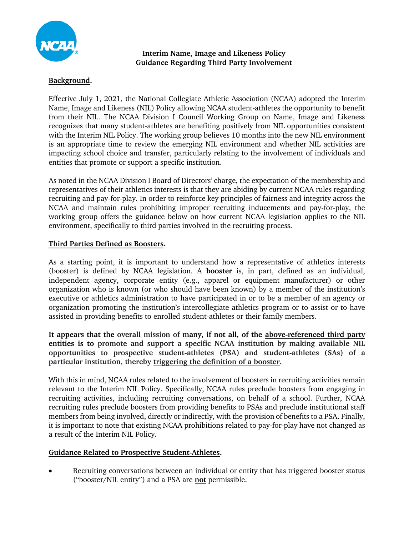

**Interim Name, Image and Likeness Policy Guidance Regarding Third Party Involvement**

# **Background.**

Effective July 1, 2021, the National Collegiate Athletic Association (NCAA) adopted the Interim Name, Image and Likeness (NIL) Policy allowing NCAA student-athletes the opportunity to benefit from their NIL. The NCAA Division I Council Working Group on Name, Image and Likeness recognizes that many student-athletes are benefiting positively from NIL opportunities consistent with the Interim NIL Policy. The working group believes 10 months into the new NIL environment is an appropriate time to review the emerging NIL environment and whether NIL activities are impacting school choice and transfer, particularly relating to the involvement of individuals and entities that promote or support a specific institution.

As noted in the NCAA Division I Board of Directors' charge, the expectation of the membership and representatives of their athletics interests is that they are abiding by current NCAA rules regarding recruiting and pay-for-play. In order to reinforce key principles of fairness and integrity across the NCAA and maintain rules prohibiting improper recruiting inducements and pay-for-play, the working group offers the guidance below on how current NCAA legislation applies to the NIL environment, specifically to third parties involved in the recruiting process.

## **Third Parties Defined as Boosters.**

As a starting point, it is important to understand how a representative of athletics interests (booster) is defined by NCAA legislation. A **booster** is, in part, defined as an individual, independent agency, corporate entity (e.g., apparel or equipment manufacturer) or other organization who is known (or who should have been known) by a member of the institution's executive or athletics administration to have participated in or to be a member of an agency or organization promoting the institution's intercollegiate athletics program or to assist or to have assisted in providing benefits to enrolled student-athletes or their family members.

**It appears that the overall mission of many, if not all, of the above-referenced third party entities is to promote and support a specific NCAA institution by making available NIL opportunities to prospective student-athletes (PSA) and student-athletes (SAs) of a particular institution, thereby triggering the definition of a booster.**

With this in mind, NCAA rules related to the involvement of boosters in recruiting activities remain relevant to the Interim NIL Policy. Specifically, NCAA rules preclude boosters from engaging in recruiting activities, including recruiting conversations, on behalf of a school. Further, NCAA recruiting rules preclude boosters from providing benefits to PSAs and preclude institutional staff members from being involved, directly or indirectly, with the provision of benefits to a PSA. Finally, it is important to note that existing NCAA prohibitions related to pay-for-play have not changed as a result of the Interim NIL Policy.

## **Guidance Related to Prospective Student-Athletes.**

• Recruiting conversations between an individual or entity that has triggered booster status ("booster/NIL entity") and a PSA are **not** permissible.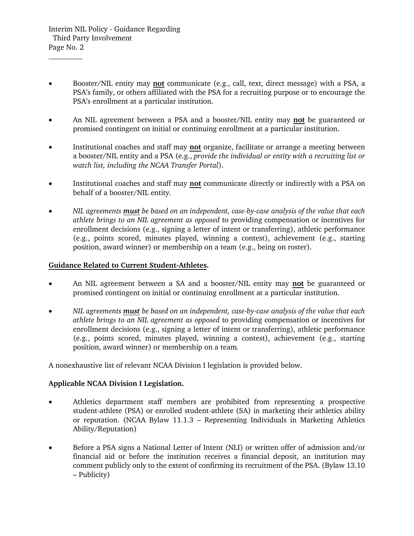\_\_\_\_\_\_\_\_\_

- Booster/NIL entity may **not** communicate (e.g., call, text, direct message) with a PSA, a PSA's family, or others affiliated with the PSA for a recruiting purpose or to encourage the PSA's enrollment at a particular institution.
- An NIL agreement between a PSA and a booster/NIL entity may **not** be guaranteed or promised contingent on initial or continuing enrollment at a particular institution.
- Institutional coaches and staff may **not** organize, facilitate or arrange a meeting between a booster/NIL entity and a PSA (e.g., *provide the individual or entity with a recruiting list or watch list, including the NCAA Transfer Portal*).
- Institutional coaches and staff may **not** communicate directly or indirectly with a PSA on behalf of a booster/NIL entity.
- *NIL agreements must be based on an independent, case-by-case analysis of the value that each athlete brings to an NIL agreement as opposed* to providing compensation or incentives for enrollment decisions (e.g., signing a letter of intent or transferring), athletic performance (e.g., points scored, minutes played, winning a contest), achievement (e.g., starting position, award winner) or membership on a team (e.g., being on roster).

## **Guidance Related to Current Student-Athletes.**

- An NIL agreement between a SA and a booster/NIL entity may **not** be guaranteed or promised contingent on initial or continuing enrollment at a particular institution.
- *NIL agreements must be based on an independent, case-by-case analysis of the value that each athlete brings to an NIL agreement as opposed* to providing compensation or incentives for enrollment decisions (e.g., signing a letter of intent or transferring), athletic performance (e.g., points scored, minutes played, winning a contest), achievement (e.g., starting position, award winner) or membership on a team*.*

A nonexhaustive list of relevant NCAA Division I legislation is provided below.

## **Applicable NCAA Division I Legislation.**

- Athletics department staff members are prohibited from representing a prospective student-athlete (PSA) or enrolled student-athlete (SA) in marketing their athletics ability or reputation. (NCAA Bylaw 11.1.3 – Representing Individuals in Marketing Athletics Ability/Reputation)
- Before a PSA signs a National Letter of Intent (NLI) or written offer of admission and/or financial aid or before the institution receives a financial deposit, an institution may comment publicly only to the extent of confirming its recruitment of the PSA. (Bylaw 13.10 – Publicity)